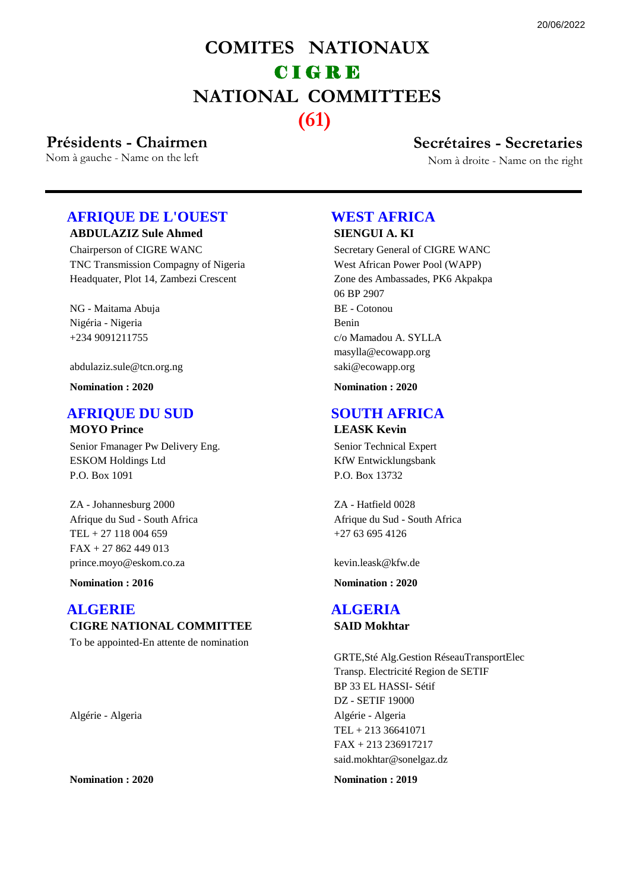## **COMITES NATIONAUX NATIONAL COMMITTEES** C I G R E **(61)**

# **Présidents - Chairmen Secrétaires - Secretaries**<br>
Nom à gauche - Name on the left<br>
Nom à droite - Name on the left

Nom à droite - Name on the right

## **ABDULAZIZ Sule Ahmed AFRIQUE DE L'OUEST**

Chairperson of CIGRE WANC TNC Transmission Compagny of Nigeria Headquater, Plot 14, Zambezi Crescent

NG - Maitama Abuja +234 9091211755 Nigéria - Nigeria

abdulaziz.sule@tcn.org.ng

**Nomination : 2020**

## **AFRIQUE DU SUD**

**MOYO Prince**

Senior Fmanager Pw Delivery Eng. ESKOM Holdings Ltd P.O. Box 1091

ZA - Johannesburg 2000 TEL + 27 118 004 659 Afrique du Sud - South Africa prince.moyo@eskom.co.za FAX + 27 862 449 013

**Nomination : 2016**

## **CIGRE NATIONAL COMMITTEE ALGERIE**

To be appointed-En attente de nomination

Algérie - Algeria

**Nomination : 2020**

## **WEST AFRICA**

**SIENGUI A. KI** Secretary General of CIGRE WANC

West African Power Pool (WAPP) Zone des Ambassades, PK6 Akpakpa 06 BP 2907 BE - Cotonou c/o Mamadou A. SYLLA Benin saki@ecowapp.org masylla@ecowapp.org

**Nomination : 2020**

## **SOUTH AFRICA**

#### **LEASK Kevin**

Senior Technical Expert KfW Entwicklungsbank P.O. Box 13732

ZA - Hatfield 0028 +27 63 695 4126 Afrique du Sud - South Africa

kevin.leask@kfw.de

**Nomination : 2020**

#### **SAID Mokhtar ALGERIA**

GRTE,Sté Alg.Gestion RéseauTransportElec Transp. Electricité Region de SETIF BP 33 EL HASSI- Sétif DZ - SETIF 19000 TEL + 213 36641071 Algérie - Algeria said.mokhtar@sonelgaz.dz FAX + 213 236917217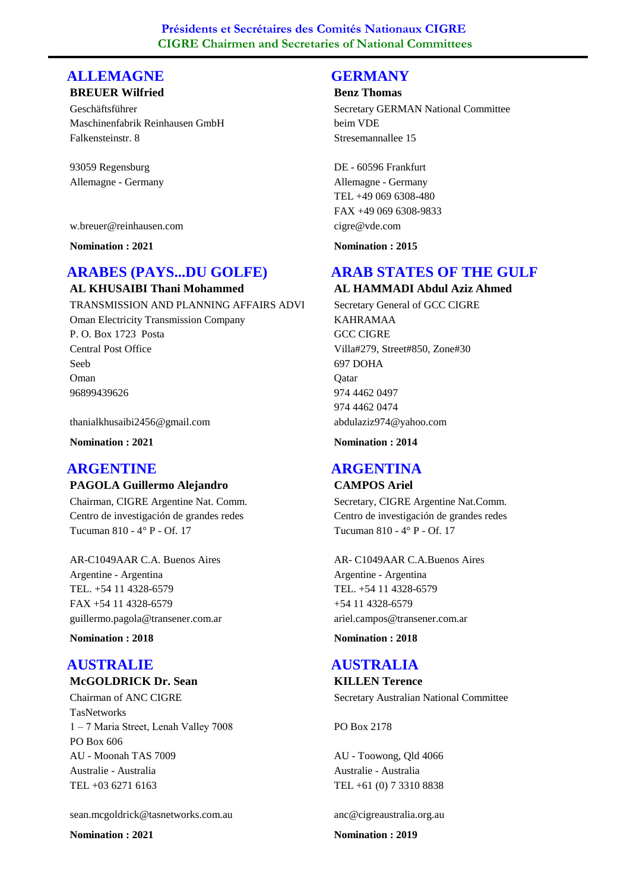## **ALLEMAGNE**

## **BREUER Wilfried**

Geschäftsführer Maschinenfabrik Reinhausen GmbH Falkensteinstr. 8

93059 Regensburg Allemagne - Germany

w.breuer@reinhausen.com

**Nomination : 2021**

## **ARABES (PAYS...DU GOLFE)**

**AL KHUSAIBI Thani Mohammed** TRANSMISSION AND PLANNING AFFAIRS ADVI Oman Electricity Transmission Company P. O. Box 1723 Posta Central Post Office Seeb 96899439626 Oman

thanialkhusaibi2456@gmail.com

**Nomination : 2021**

## **ARGENTINE**

#### **PAGOLA Guillermo Alejandro**

Chairman, CIGRE Argentine Nat. Comm. Centro de investigación de grandes redes Tucuman 810 - 4° P - Of. 17

AR-C1049AAR C.A. Buenos Aires TEL. +54 11 4328-6579 Argentine - Argentina guillermo.pagola@transener.com.ar FAX +54 11 4328-6579

**Nomination : 2018**

#### **McGOLDRICK Dr. Sean AUSTRALIE**

Chairman of ANC CIGRE **TasNetworks** 1 – 7 Maria Street, Lenah Valley 7008 PO Box 606 AU - Moonah TAS 7009 TEL +03 6271 6163 Australie - Australia

#### sean.mcgoldrick@tasnetworks.com.au

**Nomination : 2021**

#### **GERMANY**

#### **Benz Thomas**

Secretary GERMAN National Committee beim VDE Stresemannallee 15

DE - 60596 Frankfurt TEL +49 069 6308-480 Allemagne - Germany cigre@vde.com FAX +49 069 6308-9833

**Nomination : 2015**

## **ARAB STATES OF THE GULF**

**AL HAMMADI Abdul Aziz Ahmed** Secretary General of GCC CIGRE KAHRAMAA GCC CIGRE Villa#279, Street#850, Zone#30 697 DOHA 974 4462 0497 **O**atar abdulaziz974@yahoo.com 974 4462 0474

**Nomination : 2014**

## **ARGENTINA**

#### **CAMPOS Ariel**

Secretary, CIGRE Argentine Nat.Comm. Centro de investigación de grandes redes Tucuman 810 - 4° P - Of. 17

AR- C1049AAR C.A.Buenos Aires TEL. +54 11 4328-6579 Argentine - Argentina ariel.campos@transener.com.ar +54 11 4328-6579

**Nomination : 2018**

#### **AUSTRALIA**

**KILLEN Terence** Secretary Australian National Committee

PO Box 2178

AU - Toowong, Qld 4066 TEL +61 (0) 7 3310 8838 Australie - Australia

anc@cigreaustralia.org.au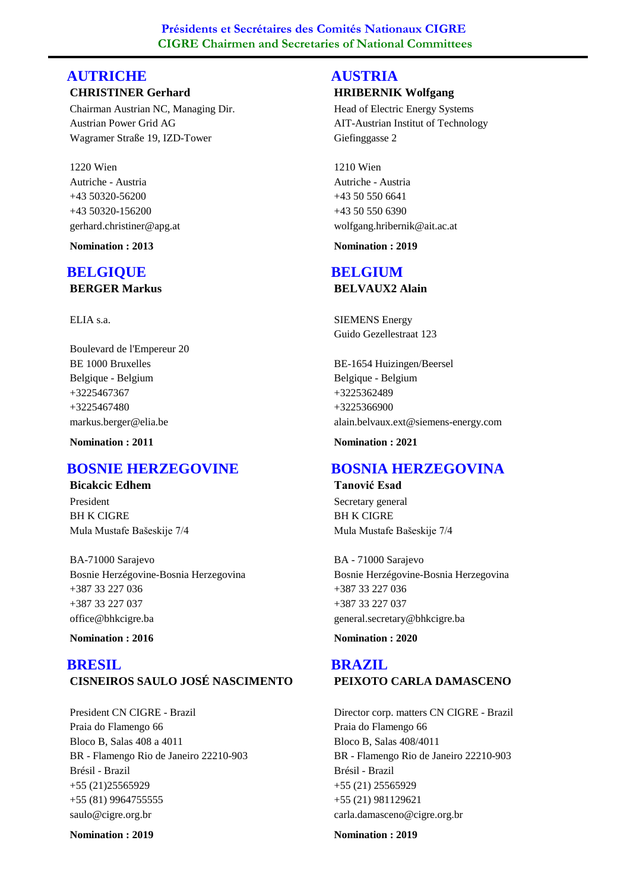#### **CHRISTINER Gerhard AUTRICHE**

Chairman Austrian NC, Managing Dir. Austrian Power Grid AG Wagramer Straße 19, IZD-Tower

1220 Wien +43 50320-56200 Autriche - Austria gerhard.christiner@apg.at +43 50320-156200

**Nomination : 2013**

## **BERGER Markus BELGIQUE**

ELIA s.a.

Boulevard de l'Empereur 20 BE 1000 Bruxelles +3225467367 Belgique - Belgium markus.berger@elia.be +3225467480

**Nomination : 2011**

## **BOSNIE HERZEGOVINE**

**Bicakcic Edhem** President BH K CIGRE Mula Mustafe Bašeskije 7/4

BA-71000 Sarajevo +387 33 227 036 Bosnie Herzégovine-Bosnia Herzegovina office@bhkcigre.ba +387 33 227 037

**Nomination : 2016**

## **CISNEIROS SAULO JOSÉ NASCIMENTO BRESIL**

President CN CIGRE - Brazil Praia do Flamengo 66 Bloco B, Salas 408 a 4011 BR - Flamengo Rio de Janeiro 22210-903 +55 (21)25565929 Brésil - Brazil saulo@cigre.org.br +55 (81) 9964755555

**Nomination : 2019**

#### **HRIBERNIK Wolfgang AUSTRIA**

Head of Electric Energy Systems AIT-Austrian Institut of Technology Giefinggasse 2

1210 Wien +43 50 550 6641 Autriche - Austria wolfgang.hribernik@ait.ac.at +43 50 550 6390

**Nomination : 2019**

## **BELGIUM**

**BELVAUX2 Alain**

SIEMENS Energy Guido Gezellestraat 123

BE-1654 Huizingen/Beersel +3225362489 Belgique - Belgium alain.belvaux.ext@siemens-energy.com +3225366900

**Nomination : 2021**

## **BOSNIA HERZEGOVINA**

**Tanović Esad** Secretary general BH K CIGRE Mula Mustafe Bašeskije 7/4

BA - 71000 Sarajevo +387 33 227 036 Bosnie Herzégovine-Bosnia Herzegovina general.secretary@bhkcigre.ba +387 33 227 037

**Nomination : 2020**

### **PEIXOTO CARLA DAMASCENO BRAZIL**

Director corp. matters CN CIGRE - Brazil Praia do Flamengo 66 Bloco B, Salas 408/4011 BR - Flamengo Rio de Janeiro 22210-903 +55 (21) 25565929 Brésil - Brazil carla.damasceno@cigre.org.br +55 (21) 981129621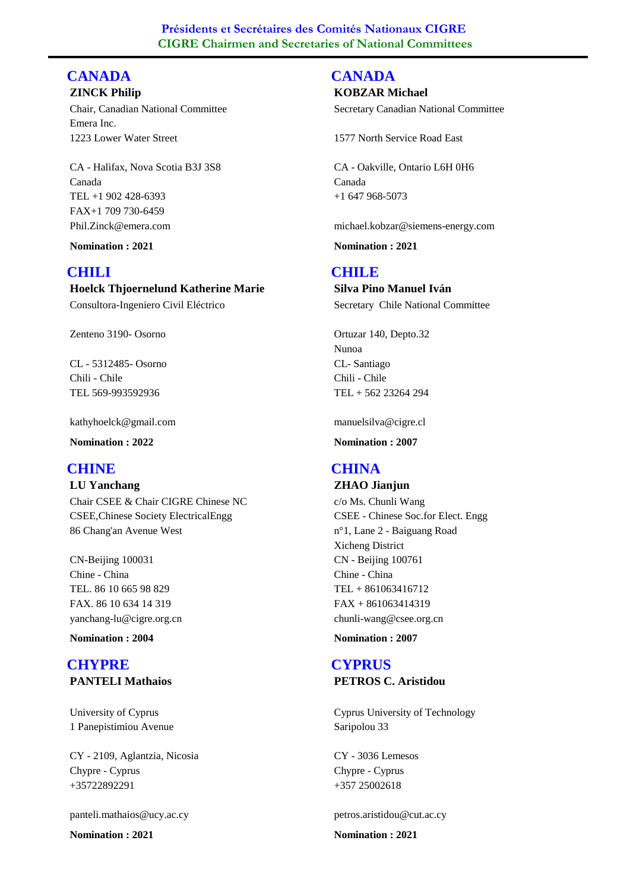#### **ZINCK Philip CANADA**

Chair, Canadian National Committee Emera Inc. 1223 Lower Water Street

CA - Halifax, Nova Scotia B3J 3S8 TEL +1 902 428-6393 Canada Phil.Zinck@emera.com FAX+1 709 730-6459

**Nomination : 2021**

## **CHILI**

**Hoelck Thjoernelund Katherine Marie** Consultora-Ingeniero Civil Eléctrico

Zenteno 3190- Osorno

CL - 5312485- Osorno TEL 569-993592936 Chili - Chile

kathyhoelck@gmail.com

**Nomination : 2022**

## **CHINE**

**LU Yanchang** Chair CSEE & Chair CIGRE Chinese NC CSEE,Chinese Society ElectricalEngg 86 Chang'an Avenue West

CN-Beijing 100031 TEL. 86 10 665 98 829 Chine - China yanchang-lu@cigre.org.cn FAX. 86 10 634 14 319

**Nomination : 2004**

## **PANTELI Mathaios CHYPRE**

University of Cyprus 1 Panepistimiou Avenue

CY - 2109, Aglantzia, Nicosia +35722892291 Chypre - Cyprus

panteli.mathaios@ucy.ac.cy

**Nomination : 2021**

## **CANADA**

**KOBZAR Michael**

Secretary Canadian National Committee

1577 North Service Road East

CA - Oakville, Ontario L6H 0H6 +1 647 968-5073 Canada

michael.kobzar@siemens-energy.com

**Nomination : 2021**

### **CHILE**

**Silva Pino Manuel Iván** Secretary Chile National Committee

Ortuzar 140, Depto.32 Nunoa CL- Santiago TEL + 562 23264 294 Chili - Chile

manuelsilva@cigre.cl

**Nomination : 2007**

## **CHINA**

**ZHAO Jianjun** c/o Ms. Chunli Wang CSEE - Chinese Soc.for Elect. Engg n°1, Lane 2 - Baiguang Road Xicheng District CN - Beijing 100761 TEL + 861063416712 Chine - China chunli-wang@csee.org.cn FAX + 861063414319

**Nomination : 2007**

### **PETROS C. Aristidou CYPRUS**

Cyprus University of Technology Saripolou 33

CY - 3036 Lemesos +357 25002618 Chypre - Cyprus

petros.aristidou@cut.ac.cy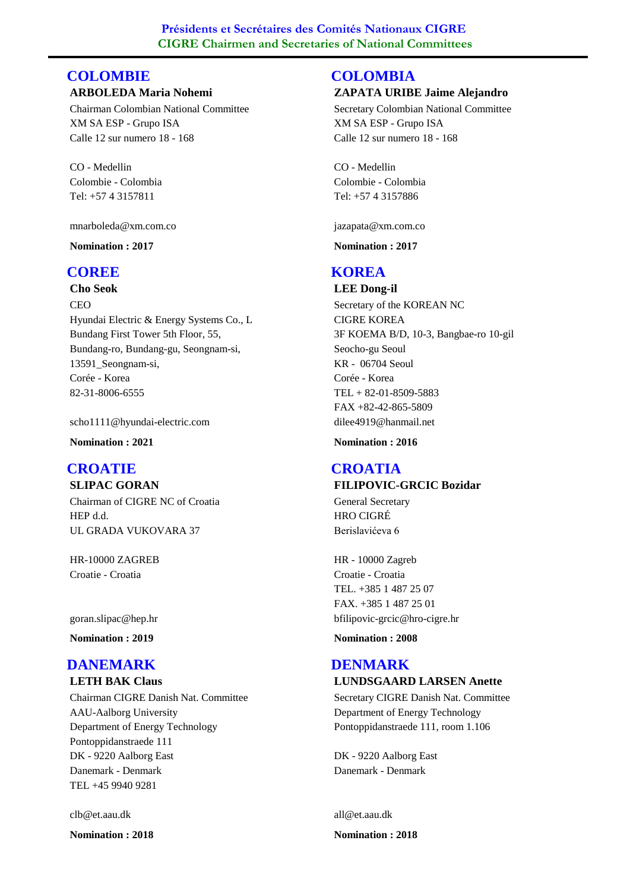## **COLOMBIE**

#### **ARBOLEDA Maria Nohemi**

Chairman Colombian National Committee XM SA ESP - Grupo ISA Calle 12 sur numero 18 - 168

CO - Medellin Tel: +57 4 3157811 Colombie - Colombia

mnarboleda@xm.com.co

**Nomination : 2017**

### **COREE**

**Cho Seok**

CEO Hyundai Electric & Energy Systems Co., L Bundang First Tower 5th Floor, 55, Bundang-ro, Bundang-gu, Seongnam-si, 13591\_Seongnam-si, 82-31-8006-6555 Corée - Korea

scho1111@hyundai-electric.com

**Nomination : 2021**

#### **SLIPAC GORAN CROATIE**

Chairman of CIGRE NC of Croatia HEP d.d. UL GRADA VUKOVARA 37

HR-10000 ZAGREB Croatie - Croatia

goran.slipac@hep.hr

**Nomination : 2019**

#### **DANEMARK**

**LETH BAK Claus**

Chairman CIGRE Danish Nat. Committee AAU-Aalborg University Department of Energy Technology Pontoppidanstraede 111 DK - 9220 Aalborg East TEL +45 9940 9281 Danemark - Denmark

clb@et.aau.dk

**Nomination : 2018**

#### **ZAPATA URIBE Jaime Alejandro COLOMBIA**

Secretary Colombian National Committee XM SA ESP - Grupo ISA Calle 12 sur numero 18 - 168

CO - Medellin Tel: +57 4 3157886 Colombie - Colombia

jazapata@xm.com.co

**Nomination : 2017**

## **KOREA**

**LEE Dong-il** Secretary of the KOREAN NC CIGRE KOREA 3F KOEMA B/D, 10-3, Bangbae-ro 10-gil Seocho-gu Seoul KR - 06704 Seoul TEL + 82-01-8509-5883 Corée - Korea dilee4919@hanmail.net FAX +82-42-865-5809

**Nomination : 2016**

#### **FILIPOVIC-GRCIC Bozidar CROATIA**

General Secretary HRO CIGRÉ Berislavićeva 6

HR - 10000 Zagreb TEL. +385 1 487 25 07 Croatie - Croatia bfilipovic-grcic@hro-cigre.hr FAX. +385 1 487 25 01

**Nomination : 2008**

#### **LUNDSGAARD LARSEN Anette DENMARK**

Secretary CIGRE Danish Nat. Committee Department of Energy Technology Pontoppidanstraede 111, room 1.106

DK - 9220 Aalborg East Danemark - Denmark

all@et.aau.dk **Nomination : 2018**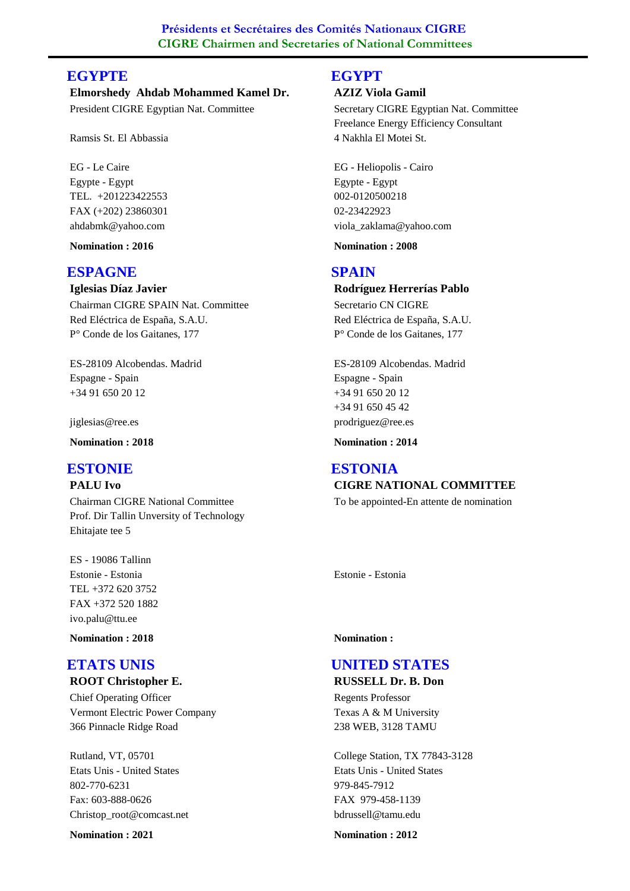## **EGYPTE**

**Elmorshedy Ahdab Mohammed Kamel Dr.** President CIGRE Egyptian Nat. Committee

Ramsis St. El Abbassia

EG - Le Caire TEL. +201223422553 Egypte - Egypt ahdabmk@yahoo.com FAX (+202) 23860301

**Nomination : 2016**

## **ESPAGNE**

**Iglesias Díaz Javier**

Chairman CIGRE SPAIN Nat. Committee Red Eléctrica de España, S.A.U. P° Conde de los Gaitanes, 177

ES-28109 Alcobendas. Madrid +34 91 650 20 12 Espagne - Spain

jiglesias@ree.es

**Nomination : 2018**

#### **PALU Ivo ESTONIE**

Chairman CIGRE National Committee Prof. Dir Tallin Unversity of Technology Ehitajate tee 5

ES - 19086 Tallinn TEL +372 620 3752 Estonie - Estonia ivo.palu@ttu.ee FAX +372 520 1882

**Nomination : 2018**

#### **ROOT Christopher E. ETATS UNIS**

Chief Operating Officer Vermont Electric Power Company 366 Pinnacle Ridge Road

Rutland, VT, 05701 802-770-6231 Etats Unis - United States Christop\_root@comcast.net Fax: 603-888-0626

**Nomination : 2021**

#### **EGYPT**

#### **AZIZ Viola Gamil**

Secretary CIGRE Egyptian Nat. Committee Freelance Energy Efficiency Consultant 4 Nakhla El Motei St.

EG - Heliopolis - Cairo 002-0120500218 Egypte - Egypt viola\_zaklama@yahoo.com 02-23422923

**Nomination : 2008**

## **SPAIN**

**Rodríguez Herrerías Pablo** Secretario CN CIGRE Red Eléctrica de España, S.A.U. P° Conde de los Gaitanes, 177

ES-28109 Alcobendas. Madrid +34 91 650 20 12 Espagne - Spain prodriguez@ree.es +34 91 650 45 42

**Nomination : 2014**

## **CIGRE NATIONAL COMMITTEE ESTONIA**

To be appointed-En attente de nomination

Estonie - Estonia

#### **Nomination :**

## **UNITED STATES**

**RUSSELL Dr. B. Don**

Regents Professor Texas A & M University 238 WEB, 3128 TAMU

College Station, TX 77843-3128 979-845-7912 Etats Unis - United States bdrussell@tamu.edu FAX 979-458-1139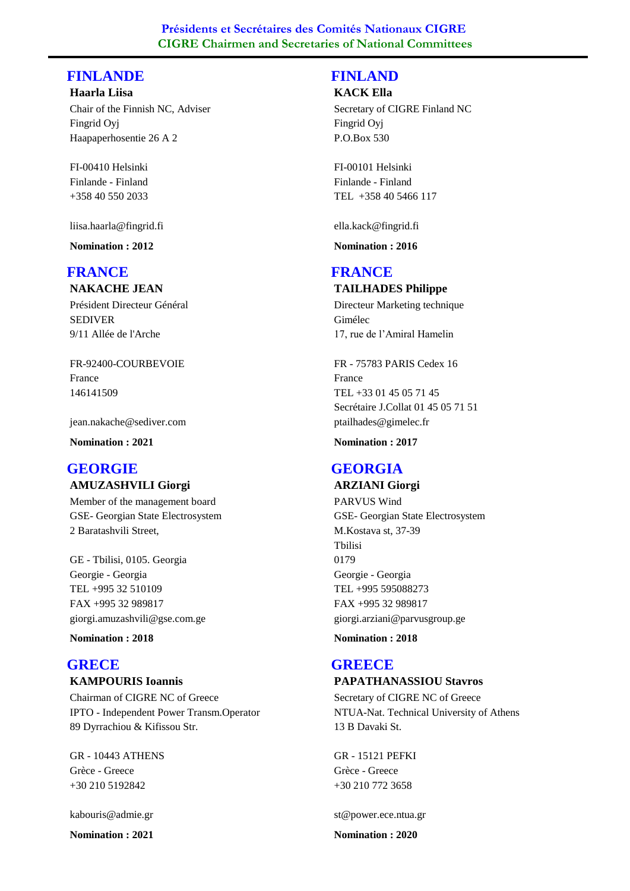## **FINLANDE**

**Haarla Liisa** Chair of the Finnish NC, Adviser Fingrid Oyj Haapaperhosentie 26 A 2

FI-00410 Helsinki +358 40 550 2033 Finlande - Finland

liisa.haarla@fingrid.fi

**Nomination : 2012**

## **FRANCE**

**NAKACHE JEAN**

Président Directeur Général SEDIVER 9/11 Allée de l'Arche

FR-92400-COURBEVOIE 146141509 France

jean.nakache@sediver.com

**Nomination : 2021**

#### **AMUZASHVILI Giorgi GEORGIE**

Member of the management board GSE- Georgian State Electrosystem 2 Baratashvili Street,

GE - Tbilisi, 0105. Georgia TEL +995 32 510109 Georgie - Georgia giorgi.amuzashvili@gse.com.ge FAX +995 32 989817

**Nomination : 2018**

#### **KAMPOURIS Ioannis GRECE**

Chairman of CIGRE NC of Greece IPTO - Independent Power Transm.Operator 89 Dyrrachiou & Kifissou Str.

GR - 10443 ATHENS +30 210 5192842 Grèce - Greece

kabouris@admie.gr

**Nomination : 2021**

## **FINLAND**

#### **KACK Ella**

Secretary of CIGRE Finland NC Fingrid Oyj P.O.Box 530

FI-00101 Helsinki TEL +358 40 5466 117 Finlande - Finland

ella.kack@fingrid.fi

**Nomination : 2016**

### **FRANCE**

#### **TAILHADES Philippe**

Directeur Marketing technique Gimélec 17, rue de l'Amiral Hamelin

FR - 75783 PARIS Cedex 16 TEL +33 01 45 05 71 45 France ptailhades@gimelec.fr Secrétaire J.Collat 01 45 05 71 51

**Nomination : 2017**

## **GEORGIA**

#### **ARZIANI Giorgi**

PARVUS Wind GSE- Georgian State Electrosystem M.Kostava st, 37-39 Tbilisi 0179 TEL +995 595088273 Georgie - Georgia giorgi.arziani@parvusgroup.ge FAX +995 32 989817

**Nomination : 2018**

## **GREECE**

#### **PAPATHANASSIOU Stavros**

Secretary of CIGRE NC of Greece NTUA-Nat. Technical University of Athens 13 B Davaki St.

GR - 15121 PEFKI +30 210 772 3658 Grèce - Greece

st@power.ece.ntua.gr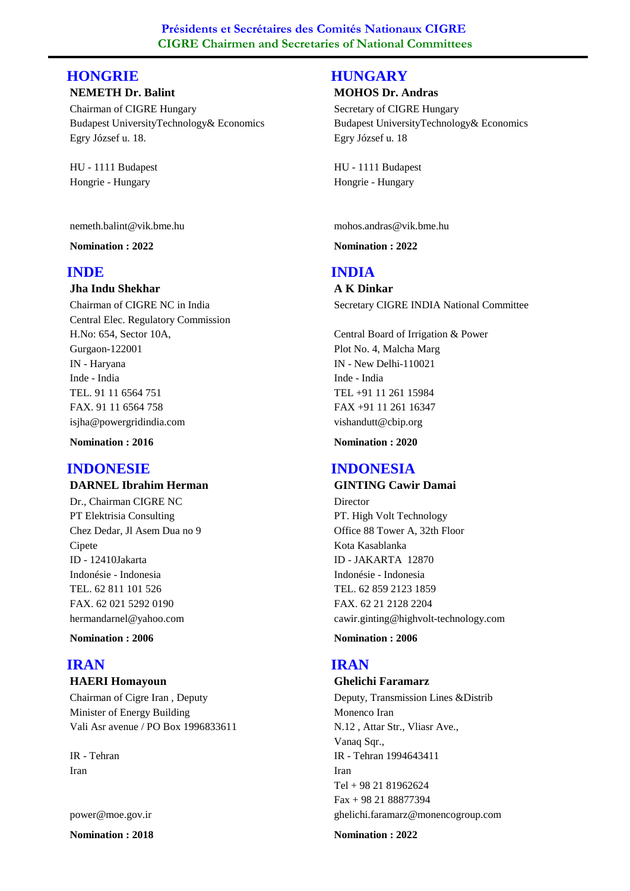## **HONGRIE**

#### **NEMETH Dr. Balint**

Chairman of CIGRE Hungary Budapest UniversityTechnology& Economics Egry József u. 18.

HU - 1111 Budapest Hongrie - Hungary

nemeth.balint@vik.bme.hu

**Nomination : 2022**

### **INDE**

#### **Jha Indu Shekhar**

Chairman of CIGRE NC in India Central Elec. Regulatory Commission H.No: 654, Sector 10A, Gurgaon-122001 IN - Haryana TEL. 91 11 6564 751 Inde - India isjha@powergridindia.com FAX. 91 11 6564 758

**Nomination : 2016**

## **INDONESIE**

**DARNEL Ibrahim Herman**

Dr., Chairman CIGRE NC PT Elektrisia Consulting Chez Dedar, Jl Asem Dua no 9 Cipete ID - 12410Jakarta TEL. 62 811 101 526 Indonésie - Indonesia hermandarnel@yahoo.com FAX. 62 021 5292 0190

**Nomination : 2006**

#### **HAERI Homayoun IRAN**

Chairman of Cigre Iran , Deputy Minister of Energy Building Vali Asr avenue / PO Box 1996833611

IR - Tehran Iran

power@moe.gov.ir

**Nomination : 2018**

## **HUNGARY**

#### **MOHOS Dr. Andras**

Secretary of CIGRE Hungary Budapest UniversityTechnology& Economics Egry József u. 18

HU - 1111 Budapest Hongrie - Hungary

mohos.andras@vik.bme.hu

**Nomination : 2022**

## **INDIA**

**A K Dinkar** Secretary CIGRE INDIA National Committee

Central Board of Irrigation & Power Plot No. 4, Malcha Marg IN - New Delhi-110021 TEL +91 11 261 15984 Inde - India vishandutt@cbip.org FAX +91 11 261 16347

**Nomination : 2020**

## **INDONESIA**

#### **GINTING Cawir Damai**

Director PT. High Volt Technology Office 88 Tower A, 32th Floor Kota Kasablanka ID - JAKARTA 12870 TEL. 62 859 2123 1859 Indonésie - Indonesia cawir.ginting@highvolt-technology.com FAX. 62 21 2128 2204

**Nomination : 2006**

## **IRAN**

#### **Ghelichi Faramarz**

Deputy, Transmission Lines &Distrib Monenco Iran N.12 , Attar Str., Vliasr Ave., Vanaq Sqr., IR - Tehran 1994643411 Tel + 98 21 81962624 Iran ghelichi.faramarz@monencogroup.com Fax + 98 21 88877394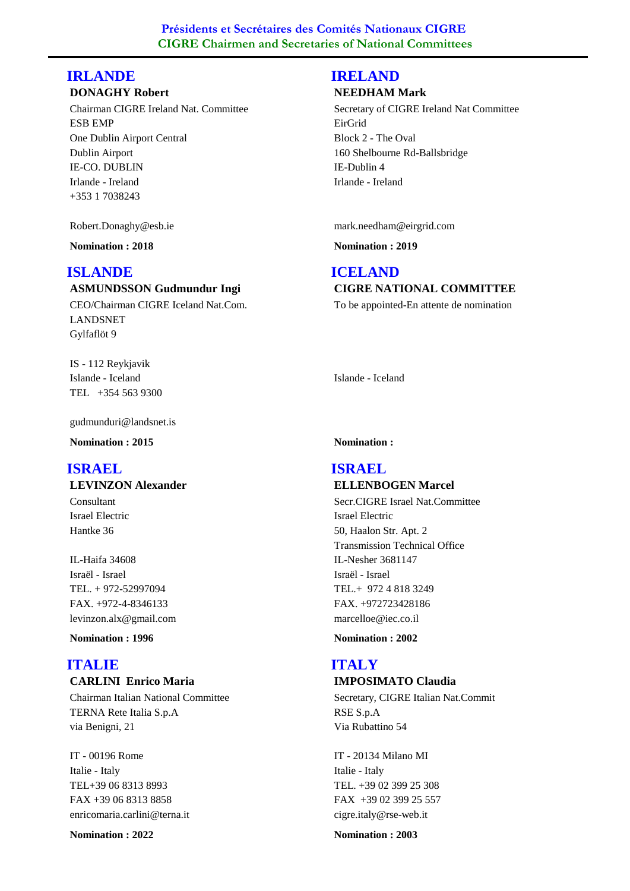## **IRLANDE**

#### **DONAGHY Robert**

Chairman CIGRE Ireland Nat. Committee ESB EMP One Dublin Airport Central Dublin Airport IE-CO. DUBLIN +353 1 7038243 Irlande - Ireland

Robert.Donaghy@esb.ie

**Nomination : 2018**

## **ISLANDE**

#### **ASMUNDSSON Gudmundur Ingi**

CEO/Chairman CIGRE Iceland Nat.Com. LANDSNET Gylfaflöt 9

IS - 112 Reykjavik TEL +354 563 9300 Islande - Iceland

gudmunduri@landsnet.is

**Nomination : 2015**

## **ISRAEL**

**LEVINZON Alexander**

Consultant Israel Electric Hantke 36

IL-Haifa 34608 TEL. + 972-52997094 Israël - Israel levinzon.alx@gmail.com FAX. +972-4-8346133

**Nomination : 1996**

## **ITALIE**

## **CARLINI Enrico Maria**

Chairman Italian National Committee TERNA Rete Italia S.p.A via Benigni, 21

IT - 00196 Rome TEL+39 06 8313 8993 Italie - Italy enricomaria.carlini@terna.it FAX +39 06 8313 8858

**Nomination : 2022**

## **IRELAND**

#### **NEEDHAM Mark**

Secretary of CIGRE Ireland Nat Committee EirGrid Block 2 - The Oval 160 Shelbourne Rd-Ballsbridge IE-Dublin 4 Irlande - Ireland

mark.needham@eirgrid.com

**Nomination : 2019**

## **ICELAND**

**CIGRE NATIONAL COMMITTEE** To be appointed-En attente de nomination

Islande - Iceland

#### **Nomination :**

#### **ELLENBOGEN Marcel ISRAEL**

Secr.CIGRE Israel Nat.Committee Israel Electric 50, Haalon Str. Apt. 2 Transmission Technical Office IL-Nesher 3681147 TEL.+ 972 4 818 3249 Israël - Israel marcelloe@iec.co.il FAX. +972723428186

**Nomination : 2002**

## **ITALY**

#### **IMPOSIMATO Claudia**

Secretary, CIGRE Italian Nat.Commit RSE S.p.A Via Rubattino 54

IT - 20134 Milano MI TEL. +39 02 399 25 308 Italie - Italy cigre.italy@rse-web.it FAX +39 02 399 25 557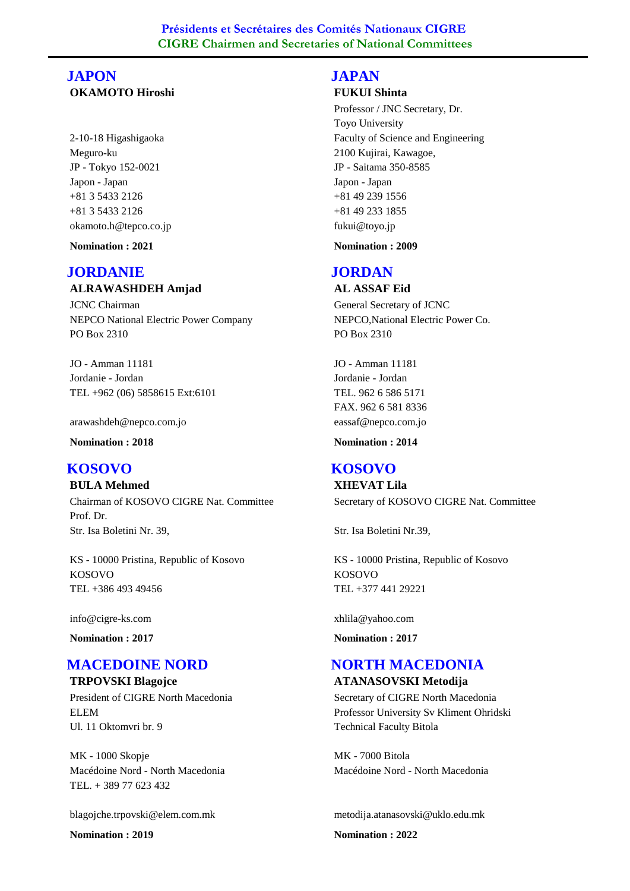## **OKAMOTO Hiroshi JAPON**

2-10-18 Higashigaoka Meguro-ku JP - Tokyo 152-0021 +81 3 5433 2126 Japon - Japan okamoto.h@tepco.co.jp +81 3 5433 2126

**Nomination : 2021**

## **JORDANIE**

#### **ALRAWASHDEH Amjad**

JCNC Chairman NEPCO National Electric Power Company PO Box 2310

JO - Amman 11181 TEL +962 (06) 5858615 Ext:6101 Jordanie - Jordan

arawashdeh@nepco.com.jo

**Nomination : 2018**

## **KOSOVO**

**BULA Mehmed** Chairman of KOSOVO CIGRE Nat. Committee Prof. Dr. Str. Isa Boletini Nr. 39,

KS - 10000 Pristina, Republic of Kosovo TEL +386 493 49456 KOSOVO

info@cigre-ks.com

**Nomination : 2017**

## **MACEDOINE NORD**

**TRPOVSKI Blagojce** President of CIGRE North Macedonia ELEM Ul. 11 Oktomvri br. 9

MK - 1000 Skopje TEL. + 389 77 623 432 Macédoine Nord - North Macedonia

blagojche.trpovski@elem.com.mk

**Nomination : 2019**

## **JAPAN**

#### **FUKUI Shinta**

Professor / JNC Secretary, Dr. Toyo University Faculty of Science and Engineering 2100 Kujirai, Kawagoe, JP - Saitama 350-8585 +81 49 239 1556 Japon - Japan fukui@toyo.jp +81 49 233 1855

**Nomination : 2009**

## **JORDAN**

**AL ASSAF Eid** General Secretary of JCNC NEPCO,National Electric Power Co. PO Box 2310

JO - Amman 11181 TEL. 962 6 586 5171 Jordanie - Jordan eassaf@nepco.com.jo FAX. 962 6 581 8336

**Nomination : 2014**

## **KOSOVO**

**XHEVAT Lila** Secretary of KOSOVO CIGRE Nat. Committee

Str. Isa Boletini Nr.39,

KS - 10000 Pristina, Republic of Kosovo TEL +377 441 29221 KOSOVO

xhlila@yahoo.com

**Nomination : 2017**

## **NORTH MACEDONIA**

**ATANASOVSKI Metodija** Secretary of CIGRE North Macedonia Professor University Sv Kliment Ohridski

Technical Faculty Bitola MK - 7000 Bitola

Macédoine Nord - North Macedonia

metodija.atanasovski@uklo.edu.mk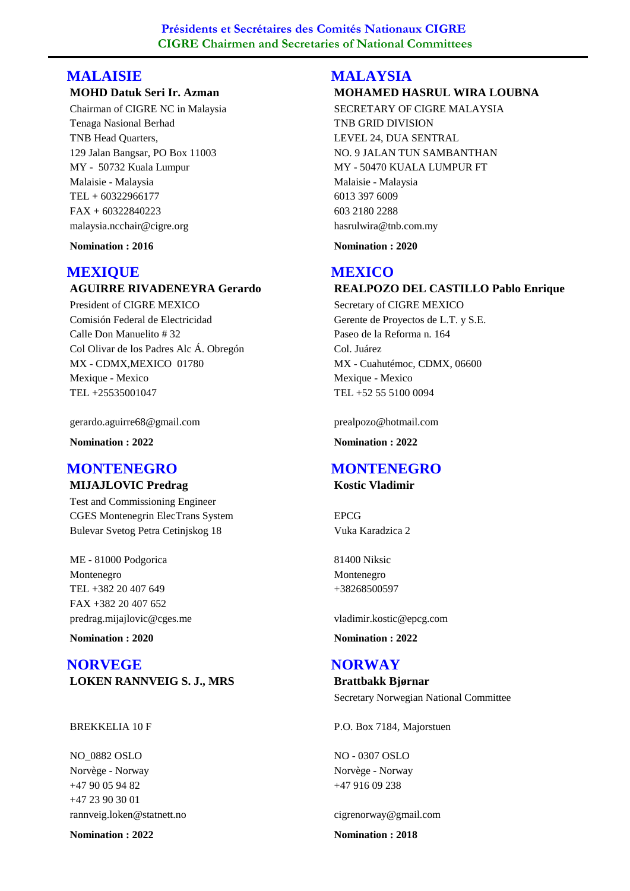## **MALAISIE**

#### **MOHD Datuk Seri Ir. Azman**

Chairman of CIGRE NC in Malaysia Tenaga Nasional Berhad TNB Head Quarters, 129 Jalan Bangsar, PO Box 11003 MY - 50732 Kuala Lumpur TEL + 60322966177 Malaisie - Malaysia malaysia.ncchair@cigre.org FAX + 60322840223

**Nomination : 2016**

## **MEXIQUE**

### **AGUIRRE RIVADENEYRA Gerardo**

President of CIGRE MEXICO Comisión Federal de Electricidad Calle Don Manuelito # 32 Col Olivar de los Padres Alc Á. Obregón MX - CDMX,MEXICO 01780 TEL +25535001047 Mexique - Mexico

gerardo.aguirre68@gmail.com

**Nomination : 2022**

## **MIJAJLOVIC Predrag MONTENEGRO**

Test and Commissioning Engineer CGES Montenegrin ElecTrans System Bulevar Svetog Petra Cetinjskog 18

ME - 81000 Podgorica TEL +382 20 407 649 Montenegro predrag.mijajlovic@cges.me FAX +382 20 407 652

**Nomination : 2020**

**LOKEN RANNVEIG S. J., MRS NORVEGE**

#### BREKKELIA 10 F

NO\_0882 OSLO +47 90 05 94 82 Norvège - Norway rannveig.loken@statnett.no +47 23 90 30 01

**Nomination : 2022**

## **MOHAMED HASRUL WIRA LOUBNA MALAYSIA**

SECRETARY OF CIGRE MALAYSIA TNB GRID DIVISION LEVEL 24, DUA SENTRAL NO. 9 JALAN TUN SAMBANTHAN MY - 50470 KUALA LUMPUR FT 6013 397 6009 Malaisie - Malaysia hasrulwira@tnb.com.my 603 2180 2288

**Nomination : 2020**

## **MEXICO**

#### **REALPOZO DEL CASTILLO Pablo Enrique**

Secretary of CIGRE MEXICO Gerente de Proyectos de L.T. y S.E. Paseo de la Reforma n. 164 Col. Juárez MX - Cuahutémoc, CDMX, 06600 TEL +52 55 5100 0094 Mexique - Mexico

prealpozo@hotmail.com

**Nomination : 2022**

## **MONTENEGRO**

**Kostic Vladimir**

EPCG Vuka Karadzica 2

81400 Niksic +38268500597 Montenegro

vladimir.kostic@epcg.com

**Nomination : 2022**

#### **NORWAY**

**Brattbakk Bjørnar** Secretary Norwegian National Committee

P.O. Box 7184, Majorstuen

NO - 0307 OSLO +47 916 09 238 Norvège - Norway

cigrenorway@gmail.com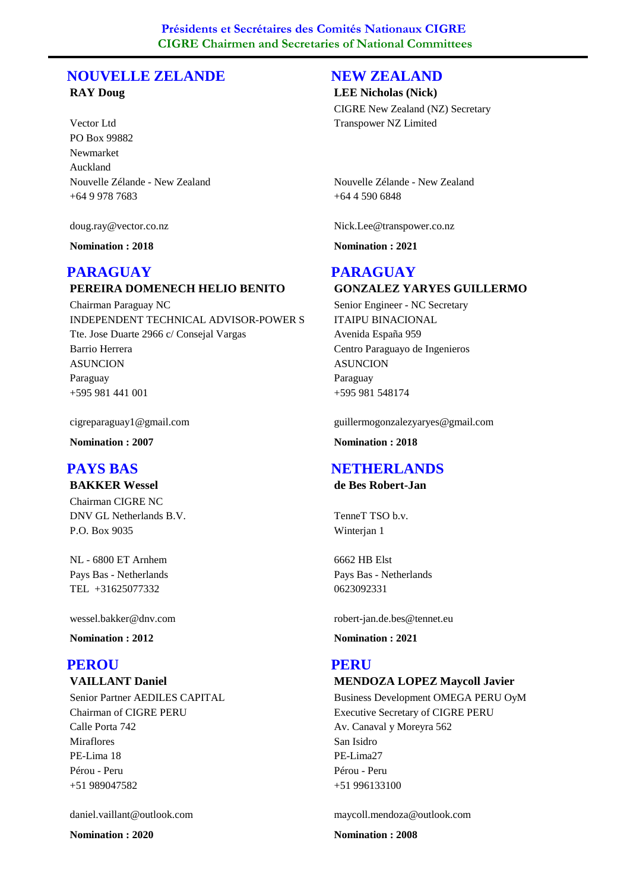## **NOUVELLE ZELANDE**

#### **RAY Doug**

Vector Ltd PO Box 99882 Newmarket Auckland +64 9 978 7683 Nouvelle Zélande - New Zealand

doug.ray@vector.co.nz

**Nomination : 2018**

## **PARAGUAY**

## **PEREIRA DOMENECH HELIO BENITO**

Chairman Paraguay NC INDEPENDENT TECHNICAL ADVISOR-POWER S Tte. Jose Duarte 2966 c/ Consejal Vargas Barrio Herrera ASUNCION +595 981 441 001 Paraguay

cigreparaguay1@gmail.com

**Nomination : 2007**

## **PAYS BAS**

**BAKKER Wessel** Chairman CIGRE NC

DNV GL Netherlands B.V. P.O. Box 9035

NL - 6800 ET Arnhem TEL +31625077332 Pays Bas - Netherlands

wessel.bakker@dnv.com

**Nomination : 2012**

## **PEROU**

## **VAILLANT Daniel**

Senior Partner AEDILES CAPITAL Chairman of CIGRE PERU Calle Porta 742 Miraflores PE-Lima 18 +51 989047582 Pérou - Peru

daniel.vaillant@outlook.com

**Nomination : 2020**

#### **NEW ZEALAND**

#### **LEE Nicholas (Nick)**

CIGRE New Zealand (NZ) Secretary Transpower NZ Limited

+64 4 590 6848 Nouvelle Zélande - New Zealand

Nick.Lee@transpower.co.nz

**Nomination : 2021**

## **PARAGUAY**

#### **GONZALEZ YARYES GUILLERMO**

Senior Engineer - NC Secretary ITAIPU BINACIONAL Avenida España 959 Centro Paraguayo de Ingenieros ASUNCION +595 981 548174 Paraguay

guillermogonzalezyaryes@gmail.com

**Nomination : 2018**

## **NETHERLANDS**

**de Bes Robert-Jan**

TenneT TSO b.v. Winterjan 1

6662 HB Elst 0623092331 Pays Bas - Netherlands

robert-jan.de.bes@tennet.eu

**Nomination : 2021**

#### **PERU**

## **MENDOZA LOPEZ Maycoll Javier**

Business Development OMEGA PERU OyM Executive Secretary of CIGRE PERU Av. Canaval y Moreyra 562 San Isidro PE-Lima27 +51 996133100 Pérou - Peru

maycoll.mendoza@outlook.com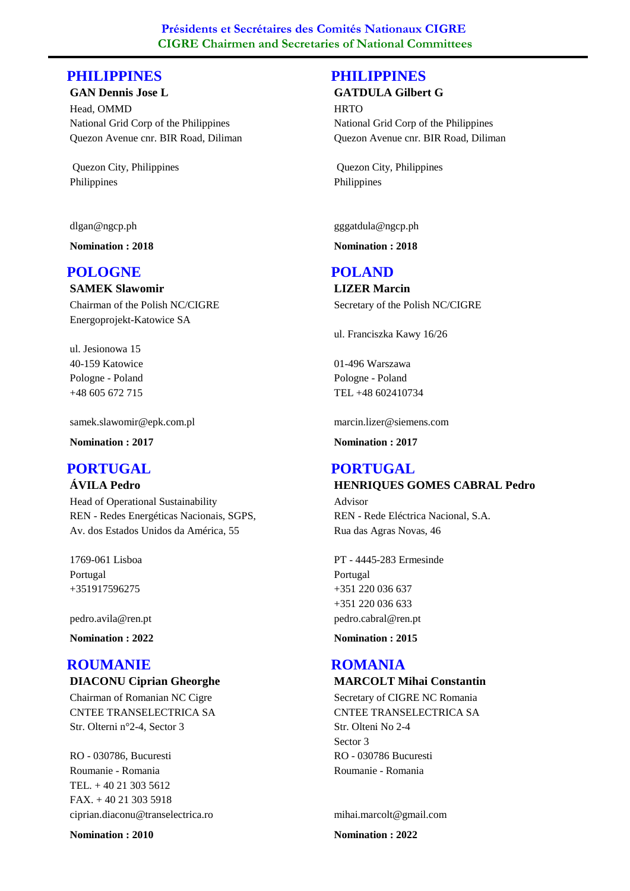## **PHILIPPINES**

**GAN Dennis Jose L**

Head, OMMD National Grid Corp of the Philippines Quezon Avenue cnr. BIR Road, Diliman

 Quezon City, Philippines Philippines

dlgan@ngcp.ph

**Nomination : 2018**

## **POLOGNE**

**SAMEK Slawomir** Chairman of the Polish NC/CIGRE Energoprojekt-Katowice SA

ul. Jesionowa 15 40-159 Katowice +48 605 672 715 Pologne - Poland

samek.slawomir@epk.com.pl

**Nomination : 2017**

## **PORTUGAL**

**ÁVILA Pedro**

Head of Operational Sustainability REN - Redes Energéticas Nacionais, SGPS, Av. dos Estados Unidos da América, 55

1769-061 Lisboa +351917596275 Portugal

pedro.avila@ren.pt

**Nomination : 2022**

## **ROUMANIE**

## **DIACONU Ciprian Gheorghe**

Chairman of Romanian NC Cigre CNTEE TRANSELECTRICA SA Str. Olterni n°2-4, Sector 3

RO - 030786, Bucuresti TEL. + 40 21 303 5612 Roumanie - Romania ciprian.diaconu@transelectrica.ro FAX. + 40 21 303 5918

**Nomination : 2010**

## **PHILIPPINES**

#### **GATDULA Gilbert G**

**HRTO** National Grid Corp of the Philippines Quezon Avenue cnr. BIR Road, Diliman

 Quezon City, Philippines Philippines

gggatdula@ngcp.ph

**Nomination : 2018**

#### **POLAND**

**LIZER Marcin** Secretary of the Polish NC/CIGRE

ul. Franciszka Kawy 16/26

01-496 Warszawa TEL +48 602410734 Pologne - Poland

marcin.lizer@siemens.com

**Nomination : 2017**

#### **HENRIQUES GOMES CABRAL Pedro PORTUGAL**

Advisor REN - Rede Eléctrica Nacional, S.A. Rua das Agras Novas, 46

PT - 4445-283 Ermesinde +351 220 036 637 Portugal pedro.cabral@ren.pt +351 220 036 633

**Nomination : 2015**

#### **MARCOLT Mihai Constantin ROMANIA**

Secretary of CIGRE NC Romania CNTEE TRANSELECTRICA SA Str. Olteni No 2-4 Sector 3 RO - 030786 Bucuresti Roumanie - Romania

mihai.marcolt@gmail.com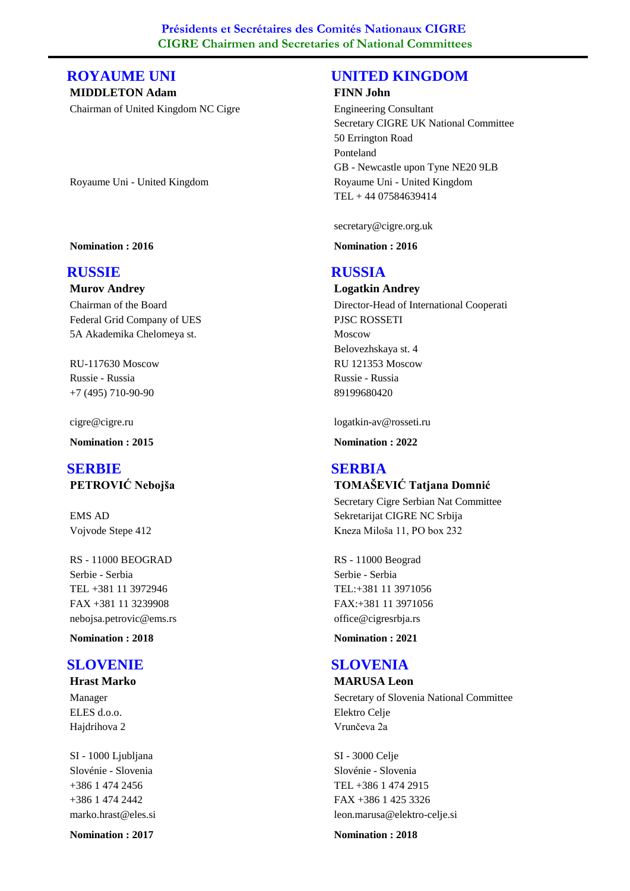## **ROYAUME UNI**

**MIDDLETON Adam** Chairman of United Kingdom NC Cigre

Royaume Uni - United Kingdom

#### **Nomination : 2016**

#### **RUSSIE**

#### **Murov Andrey**

Chairman of the Board Federal Grid Company of UES 5A Akademika Chelomeya st.

RU-117630 Moscow +7 (495) 710-90-90 Russie - Russia

cigre@cigre.ru

**Nomination : 2015**

## **PETROVIĆ Nebojša SERBIE**

EMS AD Vojvode Stepe 412

RS - 11000 BEOGRAD TEL +381 11 3972946 Serbie - Serbia nebojsa.petrovic@ems.rs FAX +381 11 3239908

**Nomination : 2018**

#### **SLOVENIE**

#### **Hrast Marko**

Manager ELES d.o.o. Hajdrihova 2

SI - 1000 Ljubljana +386 1 474 2456 Slovénie - Slovenia marko.hrast@eles.si +386 1 474 2442

**Nomination : 2017**

## **UNITED KINGDOM**

#### **FINN John**

Engineering Consultant Secretary CIGRE UK National Committee 50 Errington Road Ponteland GB - Newcastle upon Tyne NE20 9LB TEL + 44 07584639414 Royaume Uni - United Kingdom

secretary@cigre.org.uk

**Nomination : 2016**

## **RUSSIA**

**Logatkin Andrey** Director-Head of International Cooperati PJSC ROSSETI Moscow Belovezhskaya st. 4 RU 121353 Moscow 89199680420 Russie - Russia

logatkin-av@rosseti.ru

**Nomination : 2022**

#### **TOMAŠEVIĆ Tatjana Domnić SERBIA**

Secretary Cigre Serbian Nat Committee Sekretarijat CIGRE NC Srbija Kneza Miloša 11, PO box 232

RS - 11000 Beograd TEL:+381 11 3971056 Serbie - Serbia office@cigresrbja.rs FAX:+381 11 3971056

**Nomination : 2021**

## **SLOVENIA**

**MARUSA Leon** Secretary of Slovenia National Committee Elektro Celje Vrunčeva 2a

SI - 3000 Celje TEL +386 1 474 2915 Slovénie - Slovenia leon.marusa@elektro-celje.si FAX +386 1 425 3326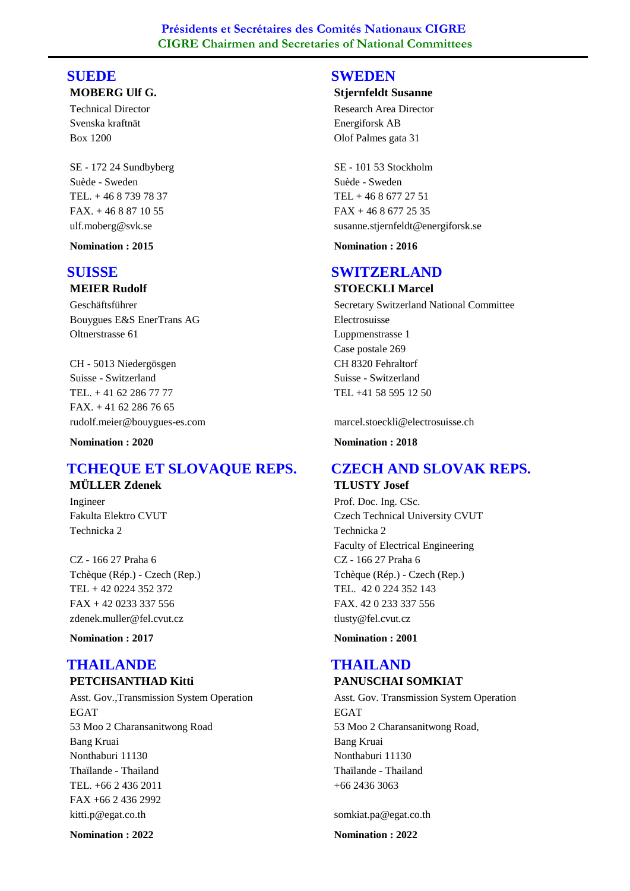#### **MOBERG Ulf G. SUEDE**

Technical Director Svenska kraftnät Box 1200

SE - 172 24 Sundbyberg TEL. + 46 8 739 78 37 Suède - Sweden ulf.moberg@svk.se FAX. + 46 8 87 10 55

**Nomination : 2015**

## **SUISSE**

## **MEIER Rudolf**

Geschäftsführer Bouygues E&S EnerTrans AG Oltnerstrasse 61

CH - 5013 Niedergösgen TEL. + 41 62 286 77 77 Suisse - Switzerland rudolf.meier@bouygues-es.com  $FAX. + 41622867665$ 

**Nomination : 2020**

#### **MÜLLER Zdenek TCHEQUE ET SLOVAQUE REPS.**

Ingineer Fakulta Elektro CVUT Technicka 2

CZ - 166 27 Praha 6 TEL + 42 0224 352 372 Tchèque (Rép.) - Czech (Rep.) zdenek.muller@fel.cvut.cz FAX + 42 0233 337 556

**Nomination : 2017**

#### **PETCHSANTHAD Kitti THAILANDE**

Asst. Gov.,Transmission System Operation EGAT 53 Moo 2 Charansanitwong Road Bang Kruai Nonthaburi 11130 TEL. +66 2 436 2011 Thaïlande - Thailand kitti.p@egat.co.th FAX +66 2 436 2992

**Nomination : 2022**

## **SWEDEN**

#### **Stjernfeldt Susanne**

Research Area Director Energiforsk AB Olof Palmes gata 31

SE - 101 53 Stockholm TEL + 46 8 677 27 51 Suède - Sweden susanne.stjernfeldt@energiforsk.se FAX + 46 8 677 25 35

**Nomination : 2016**

## **SWITZERLAND**

**STOECKLI Marcel**

Secretary Switzerland National Committee Electrosuisse Luppmenstrasse 1 Case postale 269 CH 8320 Fehraltorf TEL +41 58 595 12 50 Suisse - Switzerland

marcel.stoeckli@electrosuisse.ch

**Nomination : 2018**

## **CZECH AND SLOVAK REPS.**

**TLUSTY Josef**

Prof. Doc. Ing. CSc. Czech Technical University CVUT Technicka 2 Faculty of Electrical Engineering CZ - 166 27 Praha 6 TEL. 42 0 224 352 143 Tchèque (Rép.) - Czech (Rep.) tlusty@fel.cvut.cz FAX. 42 0 233 337 556

**Nomination : 2001**

#### **PANUSCHAI SOMKIAT THAILAND**

Asst. Gov. Transmission System Operation EGAT 53 Moo 2 Charansanitwong Road, Bang Kruai Nonthaburi 11130 +66 2436 3063 Thaïlande - Thailand

somkiat.pa@egat.co.th